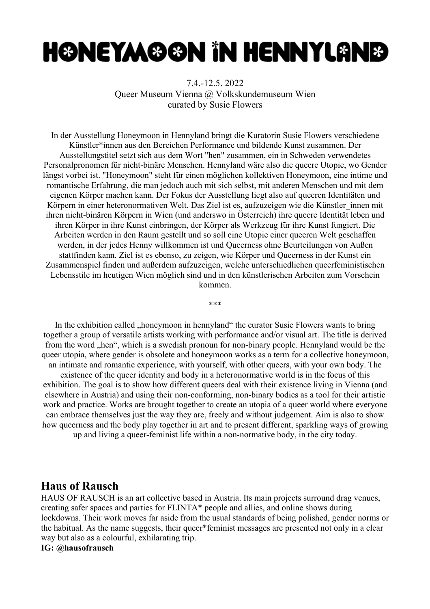# **H©NEYAA@@N iN HENNYL@NB**

7.4.-12.5. 2022 Queer Museum Vienna @ Volkskundemuseum Wien curated by Susie Flowers

In der Ausstellung Honeymoon in Hennyland bringt die Kuratorin Susie Flowers verschiedene Künstler\*innen aus den Bereichen Performance und bildende Kunst zusammen. Der Ausstellungstitel setzt sich aus dem Wort "hen" zusammen, ein in Schweden verwendetes Personalpronomen für nicht-binäre Menschen. Hennyland wäre also die queere Utopie, wo Gender längst vorbei ist. "Honeymoon" steht für einen möglichen kollektiven Honeymoon, eine intime und romantische Erfahrung, die man jedoch auch mit sich selbst, mit anderen Menschen und mit dem eigenen Körper machen kann. Der Fokus der Ausstellung liegt also auf queeren Identitäten und Körpern in einer heteronormativen Welt. Das Ziel ist es, aufzuzeigen wie die Künstler\_innen mit ihren nicht-binären Körpern in Wien (und anderswo in Österreich) ihre queere Identität leben und ihren Körper in ihre Kunst einbringen, der Körper als Werkzeug für ihre Kunst fungiert. Die Arbeiten werden in den Raum gestellt und so soll eine Utopie einer queeren Welt geschaffen werden, in der jedes Henny willkommen ist und Queerness ohne Beurteilungen von Außen stattfinden kann. Ziel ist es ebenso, zu zeigen, wie Körper und Queerness in der Kunst ein Zusammenspiel finden und außerdem aufzuzeigen, welche unterschiedlichen queerfeministischen Lebensstile im heutigen Wien möglich sind und in den künstlerischen Arbeiten zum Vorschein kommen.

\*\*\*

In the exhibition called "honeymoon in hennyland" the curator Susie Flowers wants to bring together a group of versatile artists working with performance and/or visual art. The title is derived from the word "hen", which is a swedish pronoun for non-binary people. Hennyland would be the queer utopia, where gender is obsolete and honeymoon works as a term for a collective honeymoon, an intimate and romantic experience, with yourself, with other queers, with your own body. The existence of the queer identity and body in a heteronormative world is in the focus of this exhibition. The goal is to show how different queers deal with their existence living in Vienna (and elsewhere in Austria) and using their non-conforming, non-binary bodies as a tool for their artistic work and practice. Works are brought together to create an utopia of a queer world where everyone can embrace themselves just the way they are, freely and without judgement. Aim is also to show how queerness and the body play together in art and to present different, sparkling ways of growing up and living a queer-feminist life within a non-normative body, in the city today.

# **Haus of Rausch**

HAUS OF RAUSCH is an art collective based in Austria. Its main projects surround drag venues, creating safer spaces and parties for FLINTA\* people and allies, and online shows during lockdowns. Their work moves far aside from the usual standards of being polished, gender norms or the habitual. As the name suggests, their queer\*feminist messages are presented not only in a clear way but also as a colourful, exhilarating trip.

#### **IG: @hausofrausch**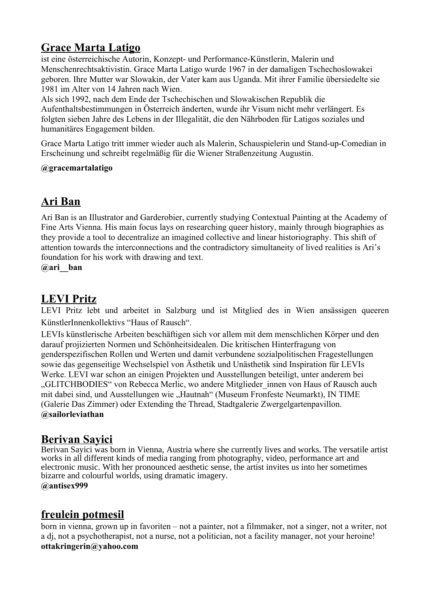# **Grace Marta Latigo**

ist eine österreichische Autorin, Konzept- und [Performance-Künstlerin,](https://de.wikipedia.org/wiki/Performance_(Kunst)) Malerin und [Menschenrechtsa](https://de.wikipedia.org/wiki/Menschenrecht)ktivistin. Grace Marta Latigo wurde 1967 in der damaligen Tschechoslowakei geboren. Ihre Mutter war [Slowakin,](https://de.wikipedia.org/wiki/Slowakei) der Vater kam aus [Uganda.](https://de.wikipedia.org/wiki/Uganda) Mit ihrer Familie übersiedelte sie 1981 im Alter von 14 Jahren nach [Wien.](https://de.wikipedia.org/wiki/Wien)

Als sich 1992, nach dem Ende der Tschechischen und Slowakischen Republik die Aufenthaltsbestimmungen in Österreich änderten, wurde ihr Visum nicht mehr verlängert. Es folgten sieben Jahre des Lebens in der [Illegalität,](https://de.wikipedia.org/wiki/Illegale_Einwanderung_und_illegaler_Aufenthalt#Begriffskritik) die den Nährboden für Latigos soziales und humanitäres Engagement bilden.

Grace Marta Latigo tritt immer wieder auch als Malerin, Schauspielerin und Stand-up-Comedian in Erscheinung und schreibt regelmäßig für die Wiener Straßenzeitung [Augustin.](https://de.wikipedia.org/wiki/Augustin_(Stra%C3%9Fenzeitung))

#### **@gracemartalatigo**

# **Ari Ban**

Ari Ban is an Illustrator and Garderobier, currently studying Contextual Painting at the Academy of Fine Arts Vienna. His main focus lays on researching queer history, mainly through biographies as they provide a tool to decentralize an imagined collective and linear historiography. This shift of attention towards the interconnections and the contradictory simultaneity of lived realities is Ari's foundation for his work with drawing and text.

**@ari\_\_ban**

# **LEVI Pritz**

LEVI Pritz lebt und arbeitet in Salzburg und ist Mitglied des in Wien ansässigen queeren KünstlerInnenkollektivs "Haus of Rausch".

LEVIs künstlerische Arbeiten beschäftigen sich vor allem mit dem menschlichen Körper und den darauf projizierten Normen und Schönheitsidealen. Die kritischen Hinterfragung von genderspezifischen Rollen und Werten und damit verbundene sozialpolitischen Fragestellungen sowie das gegenseitige Wechselspiel von Ästhetik und Unästhetik sind Inspiration für LEVIs Werke. LEVI war schon an einigen Projekten und Ausstellungen beteiligt, unter anderem bei "GLITCHBODIES" von Rebecca Merlic, wo andere Mitglieder innen von Haus of Rausch auch mit dabei sind, und Ausstellungen wie "Hautnah" (Museum Fronfeste Neumarkt), IN TIME (Galerie Das Zimmer) oder Extending the Thread, Stadtgalerie Zwergelgartenpavillon. **@sailorleviathan**

#### **Berivan Sayici**

Berivan Sayici was born in Vienna, Austria where she currently lives and works. The versatile artist works in all different kinds of media ranging from photography, video, performance art and electronic music. With her pronounced aesthetic sense, the artist invites us into her sometimes bizarre and colourful worlds, using dramatic imagery. **@antisex999**

### **freulein potmesil**

born in vienna, grown up in favoriten – not a painter, not a filmmaker, not a singer, not a writer, not a dj, not a psychotherapist, not a nurse, not a politician, not a facility manager, not your heroine! **ottakringerin@yahoo.com**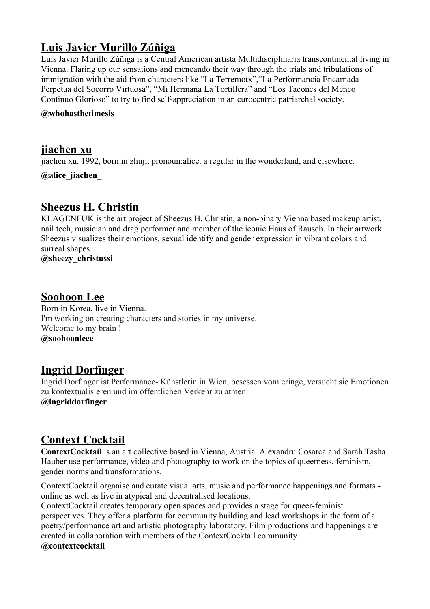# **Luis Javier Murillo Zúñiga**

Luis Javier Murillo Zúñiga is a Central American artista Multidisciplinaria transcontinental living in Vienna. Flaring up our sensations and meneando their way through the trials and tribulations of immigration with the aid from characters like "La Terremotx","La Performancia Encarnada Perpetua del Socorro Virtuosa", "Mi Hermana La Tortillera" and "Los Tacones del Meneo Continuo Glorioso" to try to find self-appreciation in an eurocentric patriarchal society.

#### **@whohasthetimesis**

#### **jiachen xu**

jiachen xu. 1992, born in zhuji, pronoun:alice. a regular in the wonderland, and elsewhere.

**@alice\_jiachen\_**

#### **Sheezus H. Christin**

KLAGENFUK is the art project of Sheezus H. Christin, a non-binary Vienna based makeup artist, nail tech, musician and drag performer and member of the iconic Haus of Rausch. In their artwork Sheezus visualizes their emotions, sexual identify and gender expression in vibrant colors and surreal shapes.

**@sheezy\_christussi**

#### **Soohoon Lee**

Born in Korea, live in Vienna. I'm working on creating characters and stories in my universe. Welcome to my brain ! **@soohoonleee**

#### **Ingrid Dorfinger**

Ingrid Dorfinger ist Performance- Künstlerin in Wien, besessen vom cringe, versucht sie Emotionen zu kontextualisieren und im öffentlichen Verkehr zu atmen. **@ingriddorfinger**

### **Context Cocktail**

**ContextCocktail** is an art collective based in Vienna, Austria. Alexandru Cosarca and Sarah Tasha Hauber use performance, video and photography to work on the topics of queerness, feminism, gender norms and transformations.

ContextCocktail organise and curate visual arts, music and performance happenings and formats online as well as live in atypical and decentralised locations.

ContextCocktail creates temporary open spaces and provides a stage for queer-feminist perspectives. They offer a platform for community building and lead workshops in the form of a poetry/performance art and artistic photography laboratory. Film productions and happenings are created in collaboration with members of the ContextCocktail community.

**@contextcocktail**